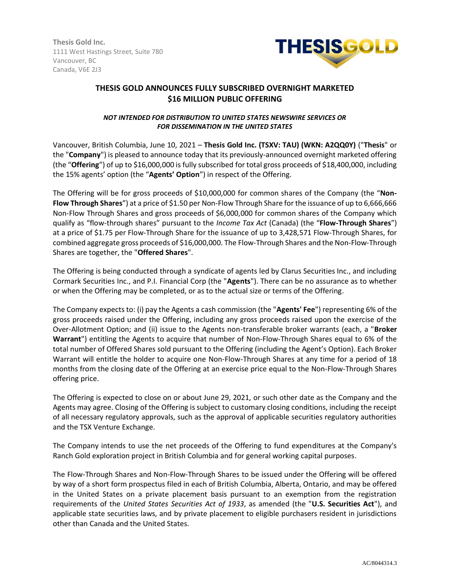**Thesis Gold Inc.** 1111 West Hastings Street, Suite 780 Vancouver, BC Canada, V6E 2J3



# **THESIS GOLD ANNOUNCES FULLY SUBSCRIBED OVERNIGHT MARKETED \$16 MILLION PUBLIC OFFERING**

## *NOT INTENDED FOR DISTRIBUTION TO UNITED STATES NEWSWIRE SERVICES OR FOR DISSEMINATION IN THE UNITED STATES*

Vancouver, British Columbia, June 10, 2021 – **Thesis Gold Inc. (TSXV: TAU) (WKN: A2QQ0Y)** ("**Thesis**" or the "**Company**") is pleased to announce today that its previously-announced overnight marketed offering (the "**Offering**") of up to \$16,000,000 is fully subscribed for total gross proceeds of \$18,400,000, including the 15% agents' option (the "**Agents' Option**") in respect of the Offering.

The Offering will be for gross proceeds of \$10,000,000 for common shares of the Company (the "**Non-Flow Through Shares**") at a price of \$1.50 per Non-Flow Through Share for the issuance of up to 6,666,666 Non-Flow Through Shares and gross proceeds of \$6,000,000 for common shares of the Company which qualify as "flow-through shares" pursuant to the *Income Tax Act* (Canada) (the "**Flow-Through Shares**") at a price of \$1.75 per Flow-Through Share for the issuance of up to 3,428,571 Flow-Through Shares, for combined aggregate gross proceeds of \$16,000,000. The Flow-Through Shares and the Non-Flow-Through Shares are together, the "**Offered Shares**".

The Offering is being conducted through a syndicate of agents led by Clarus Securities Inc., and including Cormark Securities Inc., and P.I. Financial Corp (the "**Agents**"). There can be no assurance as to whether or when the Offering may be completed, or as to the actual size or terms of the Offering.

The Company expects to: (i) pay the Agents a cash commission (the "**Agents' Fee**") representing 6% of the gross proceeds raised under the Offering, including any gross proceeds raised upon the exercise of the Over-Allotment Option; and (ii) issue to the Agents non-transferable broker warrants (each, a "**Broker Warrant**") entitling the Agents to acquire that number of Non-Flow-Through Shares equal to 6% of the total number of Offered Shares sold pursuant to the Offering (including the Agent's Option). Each Broker Warrant will entitle the holder to acquire one Non-Flow-Through Shares at any time for a period of 18 months from the closing date of the Offering at an exercise price equal to the Non-Flow-Through Shares offering price.

The Offering is expected to close on or about June 29, 2021, or such other date as the Company and the Agents may agree. Closing of the Offering is subject to customary closing conditions, including the receipt of all necessary regulatory approvals, such as the approval of applicable securities regulatory authorities and the TSX Venture Exchange.

The Company intends to use the net proceeds of the Offering to fund expenditures at the Company's Ranch Gold exploration project in British Columbia and for general working capital purposes.

The Flow-Through Shares and Non-Flow-Through Shares to be issued under the Offering will be offered by way of a short form prospectus filed in each of British Columbia, Alberta, Ontario, and may be offered in the United States on a private placement basis pursuant to an exemption from the registration requirements of the *United States Securities Act of 1933*, as amended (the "**U.S. Securities Act**"), and applicable state securities laws, and by private placement to eligible purchasers resident in jurisdictions other than Canada and the United States.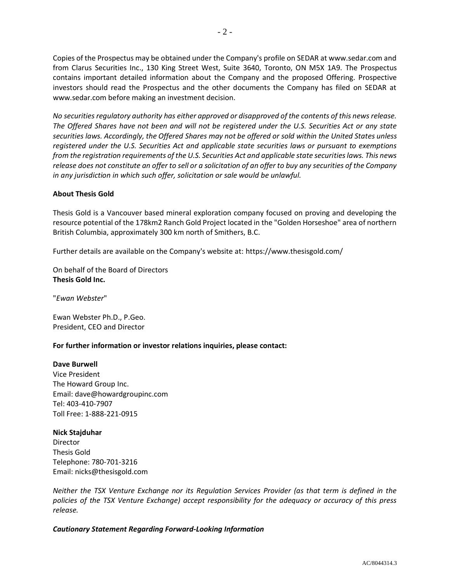Copies of the Prospectus may be obtained under the Company's profile on SEDAR at www.sedar.com and from Clarus Securities Inc., 130 King Street West, Suite 3640, Toronto, ON M5X 1A9. The Prospectus contains important detailed information about the Company and the proposed Offering. Prospective investors should read the Prospectus and the other documents the Company has filed on SEDAR at www.sedar.com before making an investment decision.

*No securities regulatory authority has either approved or disapproved of the contents of this news release. The Offered Shares have not been and will not be registered under the U.S. Securities Act or any state securities laws. Accordingly, the Offered Shares may not be offered or sold within the United States unless registered under the U.S. Securities Act and applicable state securities laws or pursuant to exemptions from the registration requirements of the U.S. Securities Act and applicable state securities laws. This news release does not constitute an offer to sell or a solicitation of an offer to buy any securities of the Company in any jurisdiction in which such offer, solicitation or sale would be unlawful.*

## **About Thesis Gold**

Thesis Gold is a Vancouver based mineral exploration company focused on proving and developing the resource potential of the 178km2 Ranch Gold Project located in the "Golden Horseshoe" area of northern British Columbia, approximately 300 km north of Smithers, B.C.

Further details are available on the Company's website at: https://www.thesisgold.com/

On behalf of the Board of Directors **Thesis Gold Inc.**

"*Ewan Webster*"

Ewan Webster Ph.D., P.Geo. President, CEO and Director

### **For further information or investor relations inquiries, please contact:**

### **Dave Burwell**

Vice President The Howard Group Inc. Email: dave@howardgroupinc.com Tel: 403-410-7907 Toll Free: 1-888-221-0915

### **Nick Stajduhar**

Director Thesis Gold Telephone: 780-701-3216 Email: nicks@thesisgold.com

*Neither the TSX Venture Exchange nor its Regulation Services Provider (as that term is defined in the policies of the TSX Venture Exchange) accept responsibility for the adequacy or accuracy of this press release.*

### *Cautionary Statement Regarding Forward-Looking Information*